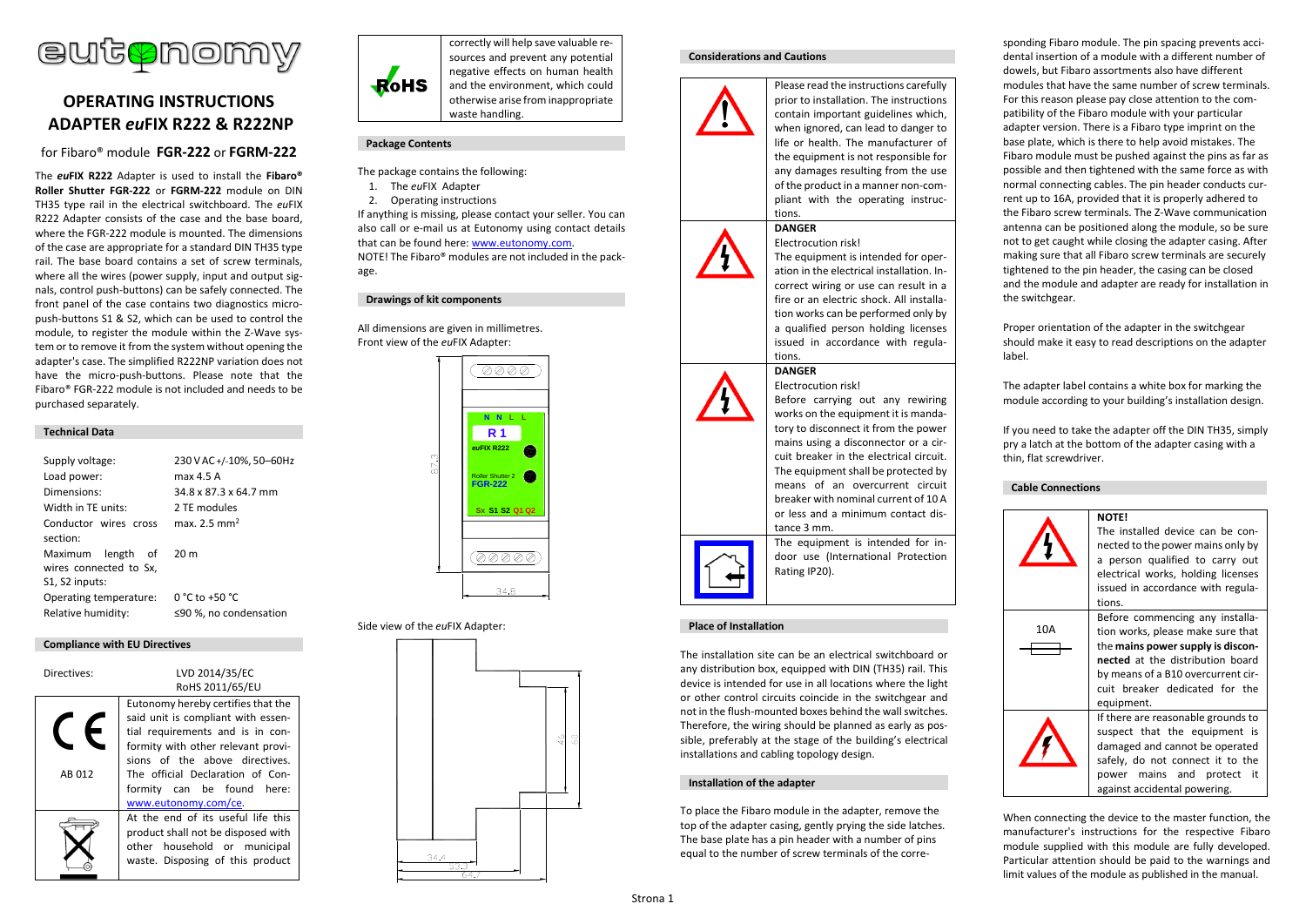

# **OPERATING INSTRUCTIONS ADAPTER** *eu***FIX R222 & R222NP**

# for Fibaro® module **FGR-222** or **FGRM-222**

The *eu***FIX R222** Adapter is used to install the **Fibaro® Roller Shutter FGR-222** or **FGRM-222** module on DIN TH35 type rail in the electrical switchboard. The *eu*FIX R222 Adapter consists of the case and the base board, where the FGR-222 module is mounted. The dimensions of the case are appropriate for a standard DIN TH35 type rail. The base board contains a set of screw terminals, where all the wires (power supply, input and output signals, control push-buttons) can be safely connected. The front panel of the case contains two diagnostics micropush-buttons S1 & S2, which can be used to control the module, to register the module within the Z-Wave system or to remove it from the system without opening the adapter's case. The simplified R222NP variation does not have the micro-push-buttons. Please note that the Fibaro® FGR-222 module is not included and needs to be purchased separately.

### **Technical Data**

| Supply voltage:<br>Load power:<br>Dimensions:<br>Width in TF units:<br>Conductor wires cross<br>section:<br>Maximum length of | 230 V AC +/-10%, 50-60Hz<br>max 4.5 A<br>34.8 x 87.3 x 64.7 mm<br>2 TF modules<br>max $2.5 \text{ mm}^2$<br>20 <sub>m</sub> |
|-------------------------------------------------------------------------------------------------------------------------------|-----------------------------------------------------------------------------------------------------------------------------|
| wires connected to Sx,<br>S1, S2 inputs:                                                                                      |                                                                                                                             |
| Operating temperature:<br>Relative humidity:                                                                                  | 0 °C to +50 °C<br>≤90 %, no condensation                                                                                    |

### **Compliance with EU Directives**

| Directives: | LVD 2014/35/EC                                                                                                                                                                       |
|-------------|--------------------------------------------------------------------------------------------------------------------------------------------------------------------------------------|
|             | RoHS 2011/65/EU                                                                                                                                                                      |
|             | Eutonomy hereby certifies that the<br>said unit is compliant with essen-<br>tial requirements and is in con-<br>formity with other relevant provi-<br>sions of the above directives. |
| AR 012      | The official Declaration of Con-<br>formity can be found here:<br>www.eutonomy.com/ce.                                                                                               |
|             | At the end of its useful life this<br>product shall not be disposed with<br>other household or municipal<br>waste. Disposing of this product                                         |



correctly will help save valuable resources and prevent any potential negative effects on human health and the environment, which could otherwise arise from inappropriate waste handling.

### **Package Contents**

- The package contains the following:
- 1. The *eu*FIX Adapter
- 2. Operating instructions

If anything is missing, please contact your seller. You can also call or e-mail us at Eutonomy using contact details that can be found here: [www.eutonomy.com.](http://www.eutonomy.com/) NOTE! The Fibaro® modules are not included in the package.

### **Drawings of kit components**

All dimensions are given in millimetres. Front view of the *eu*FIX Adapter:



### Side view of the *eu*FIX Adapter:



### **Considerations and Cautions**



prior to installation. The instructions contain important guidelines which, when ignored, can lead to danger to life or health. The manufacturer of the equipment is not responsible for any damages resulting from the use of the product in a manner non-compliant with the operating instructions.

Please read the instructions carefully

# Electrocution risk!

**DANGER**

The equipment is intended for operation in the electrical installation. Incorrect wiring or use can result in a fire or an electric shock. All installation works can be performed only by a qualified person holding licenses issued in accordance with regulations.

Before carrying out any rewiring works on the equipment it is mandatory to disconnect it from the power mains using a disconnector or a circuit breaker in the electrical circuit. The equipment shall be protected by means of an overcurrent circuit breaker with nominal current of 10 A or less and a minimum contact dis-

### **DANGER** Electrocution risk!





door use (International Protection Rating IP20).

The equipment is intended for in-

tance 3 mm.

### **Place of Installation**

The installation site can be an electrical switchboard or any distribution box, equipped with DIN (TH35) rail. This device is intended for use in all locations where the light or other control circuits coincide in the switchgear and not in the flush-mounted boxes behind the wall switches. Therefore, the wiring should be planned as early as possible, preferably at the stage of the building's electrical installations and cabling topology design.

### **Installation of the adapter**

To place the Fibaro module in the adapter, remove the top of the adapter casing, gently prying the side latches. The base plate has a pin header with a number of pins equal to the number of screw terminals of the corresponding Fibaro module. The pin spacing prevents accidental insertion of a module with a different number of dowels, but Fibaro assortments also have different modules that have the same number of screw terminals. For this reason please pay close attention to the compatibility of the Fibaro module with your particular adapter version. There is a Fibaro type imprint on the base plate, which is there to help avoid mistakes. The Fibaro module must be pushed against the pins as far as possible and then tightened with the same force as with normal connecting cables. The pin header conducts current up to 16A, provided that it is properly adhered to the Fibaro screw terminals. The Z-Wave communication antenna can be positioned along the module, so be sure not to get caught while closing the adapter casing. After making sure that all Fibaro screw terminals are securely tightened to the pin header, the casing can be closed and the module and adapter are ready for installation in the switchgear.

Proper orientation of the adapter in the switchgear should make it easy to read descriptions on the adapter label.

The adapter label contains a white box for marking the module according to your building's installation design.

If you need to take the adapter off the DIN TH35, simply pry a latch at the bottom of the adapter casing with a thin, flat screwdriver.

### **Cable Connections**



When connecting the device to the master function, the manufacturer's instructions for the respective Fibaro module supplied with this module are fully developed. Particular attention should be paid to the warnings and limit values of the module as published in the manual.